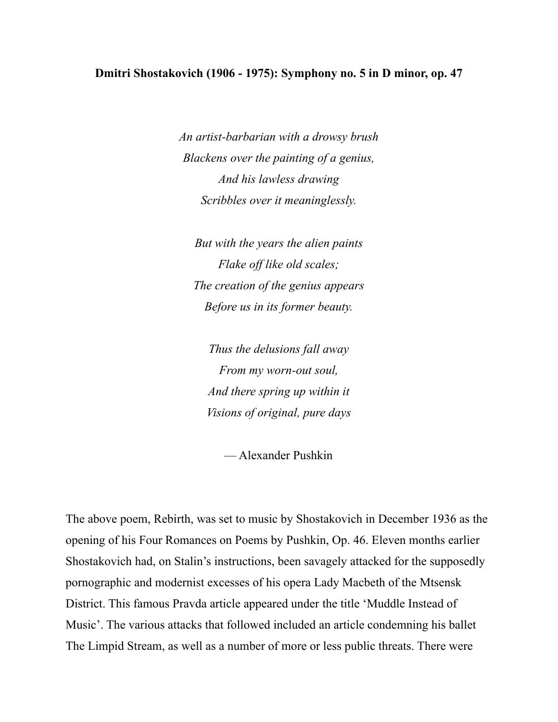## **Dmitri Shostakovich (1906 - 1975): Symphony no. 5 in D minor, op. 47**

*An artist-barbarian with a drowsy brush Blackens over the painting of a genius, And his lawless drawing Scribbles over it meaninglessly.*

*But with the years the alien paints Flake off like old scales; The creation of the genius appears Before us in its former beauty.*

*Thus the delusions fall away From my worn-out soul, And there spring up within it Visions of original, pure days*

— Alexander Pushkin

The above poem, Rebirth, was set to music by Shostakovich in December 1936 as the opening of his Four Romances on Poems by Pushkin, Op. 46. Eleven months earlier Shostakovich had, on Stalin's instructions, been savagely attacked for the supposedly pornographic and modernist excesses of his opera Lady Macbeth of the Mtsensk District. This famous Pravda article appeared under the title 'Muddle Instead of Music'. The various attacks that followed included an article condemning his ballet The Limpid Stream, as well as a number of more or less public threats. There were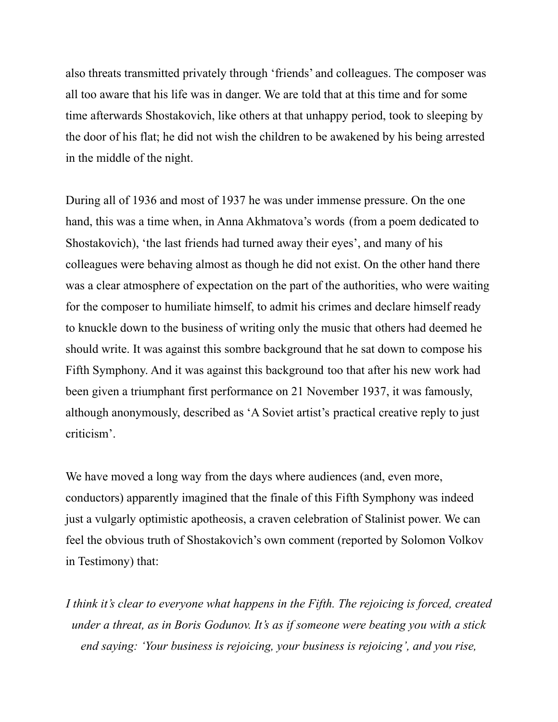also threats transmitted privately through 'friends' and colleagues. The composer was all too aware that his life was in danger. We are told that at this time and for some time afterwards Shostakovich, like others at that unhappy period, took to sleeping by the door of his flat; he did not wish the children to be awakened by his being arrested in the middle of the night.

During all of 1936 and most of 1937 he was under immense pressure. On the one hand, this was a time when, in Anna Akhmatova's words (from a poem dedicated to Shostakovich), 'the last friends had turned away their eyes', and many of his colleagues were behaving almost as though he did not exist. On the other hand there was a clear atmosphere of expectation on the part of the authorities, who were waiting for the composer to humiliate himself, to admit his crimes and declare himself ready to knuckle down to the business of writing only the music that others had deemed he should write. It was against this sombre background that he sat down to compose his Fifth Symphony. And it was against this background too that after his new work had been given a triumphant first performance on 21 November 1937, it was famously, although anonymously, described as 'A Soviet artist's practical creative reply to just criticism'.

We have moved a long way from the days where audiences (and, even more, conductors) apparently imagined that the finale of this Fifth Symphony was indeed just a vulgarly optimistic apotheosis, a craven celebration of Stalinist power. We can feel the obvious truth of Shostakovich's own comment (reported by Solomon Volkov in Testimony) that:

*I think it's clear to everyone what happens in the Fifth. The rejoicing is forced, created under a threat, as in Boris Godunov. It's as if someone were beating you with a stick end saying: 'Your business is rejoicing, your business is rejoicing', and you rise,*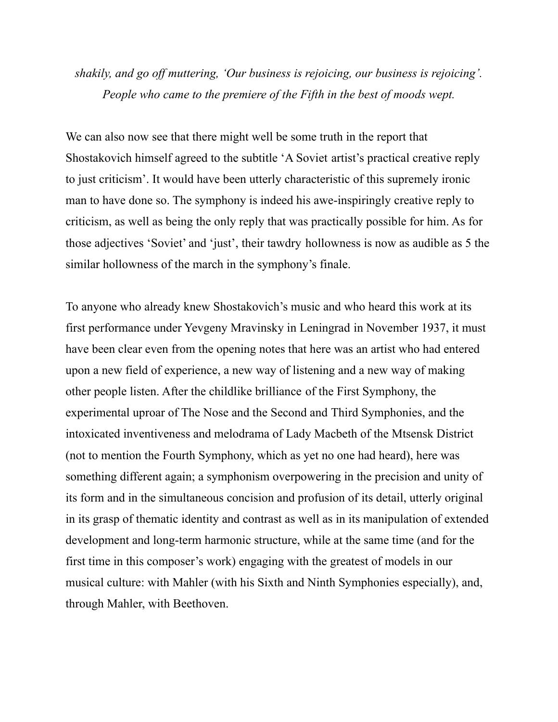## *shakily, and go off muttering, 'Our business is rejoicing, our business is rejoicing'. People who came to the premiere of the Fifth in the best of moods wept.*

We can also now see that there might well be some truth in the report that Shostakovich himself agreed to the subtitle 'A Soviet artist's practical creative reply to just criticism'. It would have been utterly characteristic of this supremely ironic man to have done so. The symphony is indeed his awe-inspiringly creative reply to criticism, as well as being the only reply that was practically possible for him. As for those adjectives 'Soviet' and 'just', their tawdry hollowness is now as audible as 5 the similar hollowness of the march in the symphony's finale.

To anyone who already knew Shostakovich's music and who heard this work at its first performance under Yevgeny Mravinsky in Leningrad in November 1937, it must have been clear even from the opening notes that here was an artist who had entered upon a new field of experience, a new way of listening and a new way of making other people listen. After the childlike brilliance of the First Symphony, the experimental uproar of The Nose and the Second and Third Symphonies, and the intoxicated inventiveness and melodrama of Lady Macbeth of the Mtsensk District (not to mention the Fourth Symphony, which as yet no one had heard), here was something different again; a symphonism overpowering in the precision and unity of its form and in the simultaneous concision and profusion of its detail, utterly original in its grasp of thematic identity and contrast as well as in its manipulation of extended development and long-term harmonic structure, while at the same time (and for the first time in this composer's work) engaging with the greatest of models in our musical culture: with Mahler (with his Sixth and Ninth Symphonies especially), and, through Mahler, with Beethoven.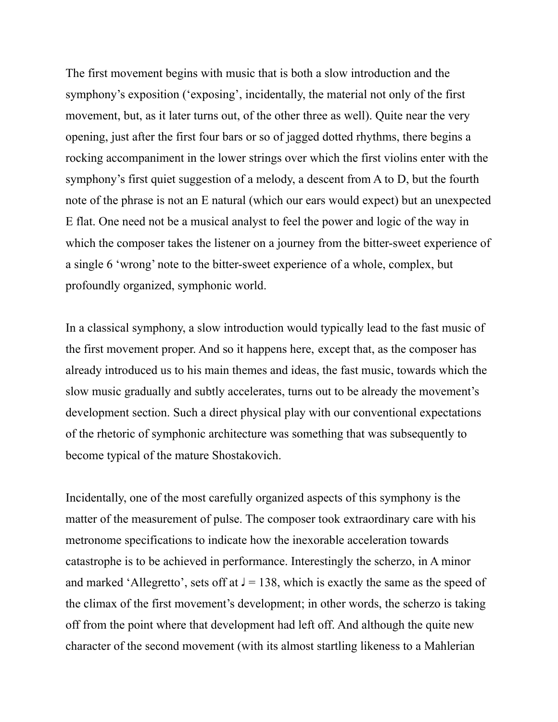The first movement begins with music that is both a slow introduction and the symphony's exposition ('exposing', incidentally, the material not only of the first movement, but, as it later turns out, of the other three as well). Quite near the very opening, just after the first four bars or so of jagged dotted rhythms, there begins a rocking accompaniment in the lower strings over which the first violins enter with the symphony's first quiet suggestion of a melody, a descent from A to D, but the fourth note of the phrase is not an E natural (which our ears would expect) but an unexpected E flat. One need not be a musical analyst to feel the power and logic of the way in which the composer takes the listener on a journey from the bitter-sweet experience of a single 6 'wrong' note to the bitter-sweet experience of a whole, complex, but profoundly organized, symphonic world.

In a classical symphony, a slow introduction would typically lead to the fast music of the first movement proper. And so it happens here, except that, as the composer has already introduced us to his main themes and ideas, the fast music, towards which the slow music gradually and subtly accelerates, turns out to be already the movement's development section. Such a direct physical play with our conventional expectations of the rhetoric of symphonic architecture was something that was subsequently to become typical of the mature Shostakovich.

Incidentally, one of the most carefully organized aspects of this symphony is the matter of the measurement of pulse. The composer took extraordinary care with his metronome specifications to indicate how the inexorable acceleration towards catastrophe is to be achieved in performance. Interestingly the scherzo, in A minor and marked 'Allegretto', sets off at  $J = 138$ , which is exactly the same as the speed of the climax of the first movement's development; in other words, the scherzo is taking off from the point where that development had left off. And although the quite new character of the second movement (with its almost startling likeness to a Mahlerian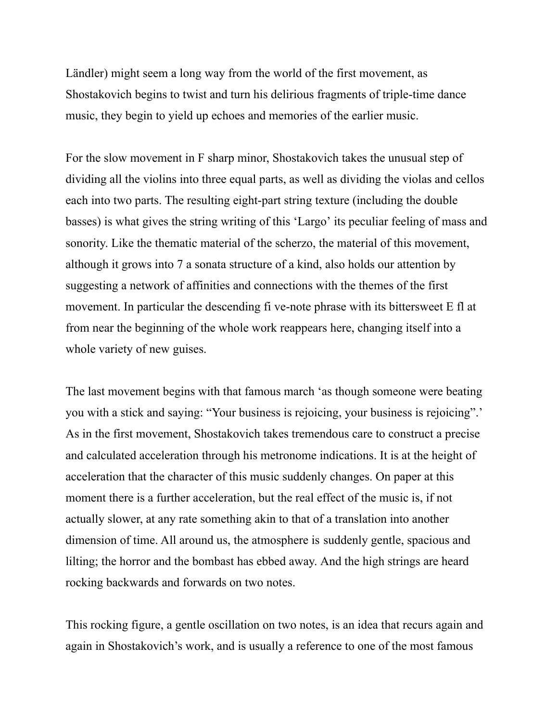Ländler) might seem a long way from the world of the first movement, as Shostakovich begins to twist and turn his delirious fragments of triple-time dance music, they begin to yield up echoes and memories of the earlier music.

For the slow movement in F sharp minor, Shostakovich takes the unusual step of dividing all the violins into three equal parts, as well as dividing the violas and cellos each into two parts. The resulting eight-part string texture (including the double basses) is what gives the string writing of this 'Largo' its peculiar feeling of mass and sonority. Like the thematic material of the scherzo, the material of this movement, although it grows into 7 a sonata structure of a kind, also holds our attention by suggesting a network of affinities and connections with the themes of the first movement. In particular the descending fi ve-note phrase with its bittersweet E fl at from near the beginning of the whole work reappears here, changing itself into a whole variety of new guises.

The last movement begins with that famous march 'as though someone were beating you with a stick and saying: "Your business is rejoicing, your business is rejoicing".' As in the first movement, Shostakovich takes tremendous care to construct a precise and calculated acceleration through his metronome indications. It is at the height of acceleration that the character of this music suddenly changes. On paper at this moment there is a further acceleration, but the real effect of the music is, if not actually slower, at any rate something akin to that of a translation into another dimension of time. All around us, the atmosphere is suddenly gentle, spacious and lilting; the horror and the bombast has ebbed away. And the high strings are heard rocking backwards and forwards on two notes.

This rocking figure, a gentle oscillation on two notes, is an idea that recurs again and again in Shostakovich's work, and is usually a reference to one of the most famous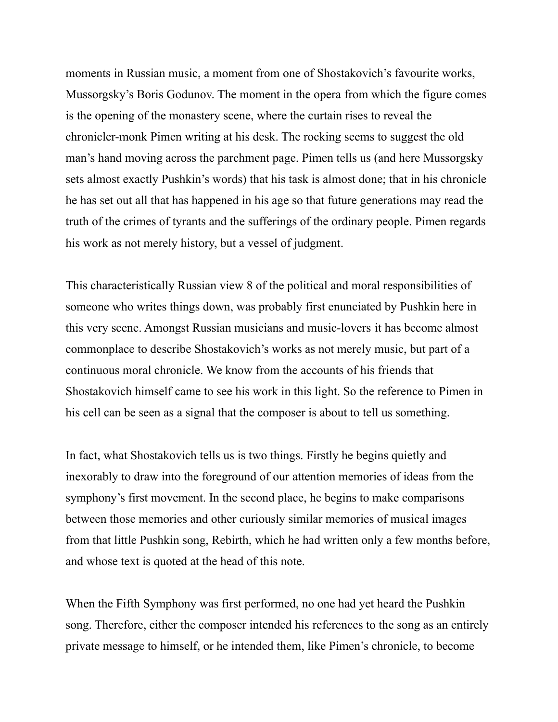moments in Russian music, a moment from one of Shostakovich's favourite works, Mussorgsky's Boris Godunov. The moment in the opera from which the figure comes is the opening of the monastery scene, where the curtain rises to reveal the chronicler-monk Pimen writing at his desk. The rocking seems to suggest the old man's hand moving across the parchment page. Pimen tells us (and here Mussorgsky sets almost exactly Pushkin's words) that his task is almost done; that in his chronicle he has set out all that has happened in his age so that future generations may read the truth of the crimes of tyrants and the sufferings of the ordinary people. Pimen regards his work as not merely history, but a vessel of judgment.

This characteristically Russian view 8 of the political and moral responsibilities of someone who writes things down, was probably first enunciated by Pushkin here in this very scene. Amongst Russian musicians and music-lovers it has become almost commonplace to describe Shostakovich's works as not merely music, but part of a continuous moral chronicle. We know from the accounts of his friends that Shostakovich himself came to see his work in this light. So the reference to Pimen in his cell can be seen as a signal that the composer is about to tell us something.

In fact, what Shostakovich tells us is two things. Firstly he begins quietly and inexorably to draw into the foreground of our attention memories of ideas from the symphony's first movement. In the second place, he begins to make comparisons between those memories and other curiously similar memories of musical images from that little Pushkin song, Rebirth, which he had written only a few months before, and whose text is quoted at the head of this note.

When the Fifth Symphony was first performed, no one had yet heard the Pushkin song. Therefore, either the composer intended his references to the song as an entirely private message to himself, or he intended them, like Pimen's chronicle, to become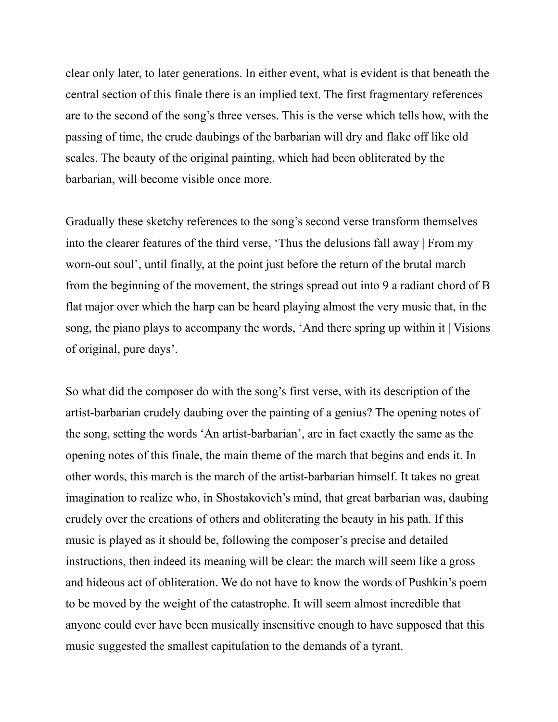clear only later, to later generations. In either event, what is evident is that beneath the central section of this finale there is an implied text. The first fragmentary references are to the second of the song's three verses. This is the verse which tells how, with the passing of time, the crude daubings of the barbarian will dry and flake off like old scales. The beauty of the original painting, which had been obliterated by the barbarian, will become visible once more.

Gradually these sketchy references to the song's second verse transform themselves into the clearer features of the third verse, 'Thus the delusions fall away | From my worn-out soul', until finally, at the point just before the return of the brutal march from the beginning of the movement, the strings spread out into 9 a radiant chord of B flat major over which the harp can be heard playing almost the very music that, in the song, the piano plays to accompany the words, 'And there spring up within it | Visions of original, pure days'.

So what did the composer do with the song's first verse, with its description of the artist-barbarian crudely daubing over the painting of a genius? The opening notes of the song, setting the words 'An artist-barbarian', are in fact exactly the same as the opening notes of this finale, the main theme of the march that begins and ends it. In other words, this march is the march of the artist-barbarian himself. It takes no great imagination to realize who, in Shostakovich's mind, that great barbarian was, daubing crudely over the creations of others and obliterating the beauty in his path. If this music is played as it should be, following the composer's precise and detailed instructions, then indeed its meaning will be clear: the march will seem like a gross and hideous act of obliteration. We do not have to know the words of Pushkin's poem to be moved by the weight of the catastrophe. It will seem almost incredible that anyone could ever have been musically insensitive enough to have supposed that this music suggested the smallest capitulation to the demands of a tyrant.